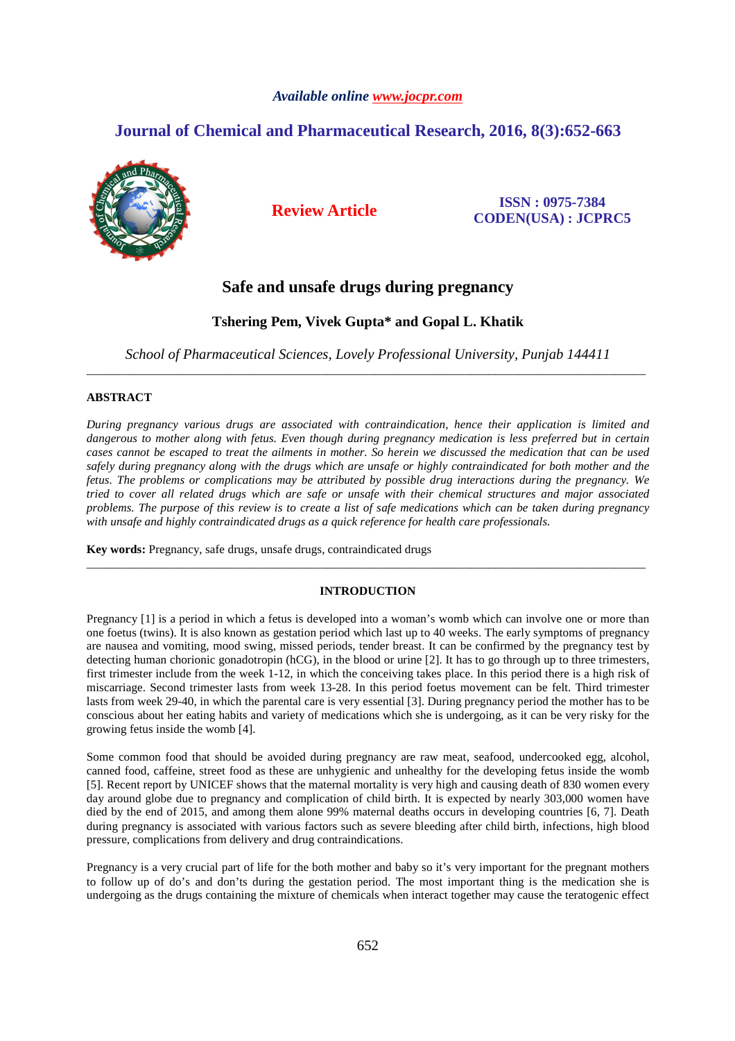# *Available online www.jocpr.com*

# **Journal of Chemical and Pharmaceutical Research, 2016, 8(3):652-663**



**Review Article ISSN : 0975-7384 CODEN(USA) : JCPRC5**

# **Safe and unsafe drugs during pregnancy**

# **Tshering Pem, Vivek Gupta\* and Gopal L. Khatik**

*School of Pharmaceutical Sciences, Lovely Professional University, Punjab 144411*  \_\_\_\_\_\_\_\_\_\_\_\_\_\_\_\_\_\_\_\_\_\_\_\_\_\_\_\_\_\_\_\_\_\_\_\_\_\_\_\_\_\_\_\_\_\_\_\_\_\_\_\_\_\_\_\_\_\_\_\_\_\_\_\_\_\_\_\_\_\_\_\_\_\_\_\_\_\_\_\_\_\_\_\_\_\_\_\_\_\_\_\_\_

# **ABSTRACT**

*During pregnancy various drugs are associated with contraindication, hence their application is limited and dangerous to mother along with fetus. Even though during pregnancy medication is less preferred but in certain cases cannot be escaped to treat the ailments in mother. So herein we discussed the medication that can be used safely during pregnancy along with the drugs which are unsafe or highly contraindicated for both mother and the fetus. The problems or complications may be attributed by possible drug interactions during the pregnancy. We tried to cover all related drugs which are safe or unsafe with their chemical structures and major associated problems. The purpose of this review is to create a list of safe medications which can be taken during pregnancy with unsafe and highly contraindicated drugs as a quick reference for health care professionals.* 

**Key words:** Pregnancy, safe drugs, unsafe drugs, contraindicated drugs

# **INTRODUCTION**

\_\_\_\_\_\_\_\_\_\_\_\_\_\_\_\_\_\_\_\_\_\_\_\_\_\_\_\_\_\_\_\_\_\_\_\_\_\_\_\_\_\_\_\_\_\_\_\_\_\_\_\_\_\_\_\_\_\_\_\_\_\_\_\_\_\_\_\_\_\_\_\_\_\_\_\_\_\_\_\_\_\_\_\_\_\_\_\_\_\_\_\_\_

Pregnancy [1] is a period in which a fetus is developed into a woman's womb which can involve one or more than one foetus (twins). It is also known as gestation period which last up to 40 weeks. The early symptoms of pregnancy are nausea and vomiting, mood swing, missed periods, tender breast. It can be confirmed by the pregnancy test by detecting human chorionic gonadotropin (hCG), in the blood or urine [2]. It has to go through up to three trimesters, first trimester include from the week 1-12, in which the conceiving takes place. In this period there is a high risk of miscarriage. Second trimester lasts from week 13-28. In this period foetus movement can be felt. Third trimester lasts from week 29-40, in which the parental care is very essential [3]. During pregnancy period the mother has to be conscious about her eating habits and variety of medications which she is undergoing, as it can be very risky for the growing fetus inside the womb [4].

Some common food that should be avoided during pregnancy are raw meat, seafood, undercooked egg, alcohol, canned food, caffeine, street food as these are unhygienic and unhealthy for the developing fetus inside the womb [5]. Recent report by UNICEF shows that the maternal mortality is very high and causing death of 830 women every day around globe due to pregnancy and complication of child birth. It is expected by nearly 303,000 women have died by the end of 2015, and among them alone 99% maternal deaths occurs in developing countries [6, 7]. Death during pregnancy is associated with various factors such as severe bleeding after child birth, infections, high blood pressure, complications from delivery and drug contraindications.

Pregnancy is a very crucial part of life for the both mother and baby so it's very important for the pregnant mothers to follow up of do's and don'ts during the gestation period. The most important thing is the medication she is undergoing as the drugs containing the mixture of chemicals when interact together may cause the teratogenic effect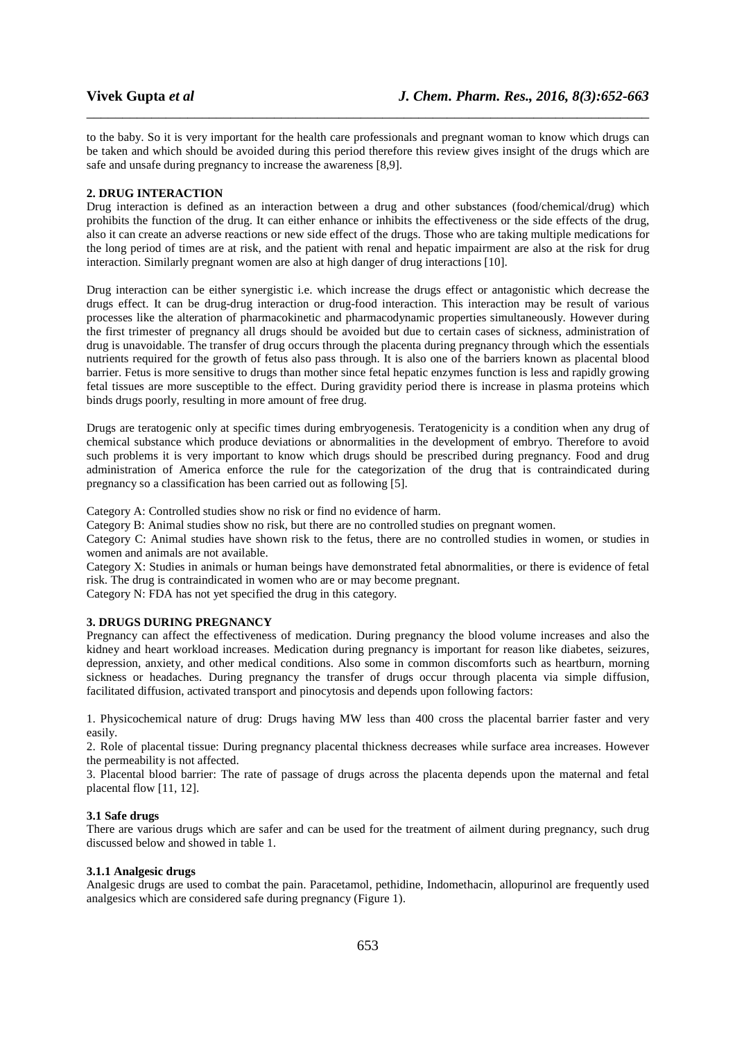to the baby. So it is very important for the health care professionals and pregnant woman to know which drugs can be taken and which should be avoided during this period therefore this review gives insight of the drugs which are safe and unsafe during pregnancy to increase the awareness [8,9].

\_\_\_\_\_\_\_\_\_\_\_\_\_\_\_\_\_\_\_\_\_\_\_\_\_\_\_\_\_\_\_\_\_\_\_\_\_\_\_\_\_\_\_\_\_\_\_\_\_\_\_\_\_\_\_\_\_\_\_\_\_\_\_\_\_\_\_\_\_\_\_\_\_\_\_\_\_\_

#### **2. DRUG INTERACTION**

Drug interaction is defined as an interaction between a drug and other substances (food/chemical/drug) which prohibits the function of the drug. It can either enhance or inhibits the effectiveness or the side effects of the drug, also it can create an adverse reactions or new side effect of the drugs. Those who are taking multiple medications for the long period of times are at risk, and the patient with renal and hepatic impairment are also at the risk for drug interaction. Similarly pregnant women are also at high danger of drug interactions [10].

Drug interaction can be either synergistic i.e. which increase the drugs effect or antagonistic which decrease the drugs effect. It can be drug-drug interaction or drug-food interaction. This interaction may be result of various processes like the alteration of pharmacokinetic and pharmacodynamic properties simultaneously. However during the first trimester of pregnancy all drugs should be avoided but due to certain cases of sickness, administration of drug is unavoidable. The transfer of drug occurs through the placenta during pregnancy through which the essentials nutrients required for the growth of fetus also pass through. It is also one of the barriers known as placental blood barrier. Fetus is more sensitive to drugs than mother since fetal hepatic enzymes function is less and rapidly growing fetal tissues are more susceptible to the effect. During gravidity period there is increase in plasma proteins which binds drugs poorly, resulting in more amount of free drug.

Drugs are teratogenic only at specific times during embryogenesis. Teratogenicity is a condition when any drug of chemical substance which produce deviations or abnormalities in the development of embryo. Therefore to avoid such problems it is very important to know which drugs should be prescribed during pregnancy. Food and drug administration of America enforce the rule for the categorization of the drug that is contraindicated during pregnancy so a classification has been carried out as following [5].

Category A: Controlled studies show no risk or find no evidence of harm.

Category B: Animal studies show no risk, but there are no controlled studies on pregnant women.

Category C: Animal studies have shown risk to the fetus, there are no controlled studies in women, or studies in women and animals are not available.

Category X: Studies in animals or human beings have demonstrated fetal abnormalities, or there is evidence of fetal risk. The drug is contraindicated in women who are or may become pregnant.

Category N: FDA has not yet specified the drug in this category.

# **3. DRUGS DURING PREGNANCY**

Pregnancy can affect the effectiveness of medication. During pregnancy the blood volume increases and also the kidney and heart workload increases. Medication during pregnancy is important for reason like diabetes, seizures, depression, anxiety, and other medical conditions. Also some in common discomforts such as heartburn, morning sickness or headaches. During pregnancy the transfer of drugs occur through placenta via simple diffusion, facilitated diffusion, activated transport and pinocytosis and depends upon following factors:

1. Physicochemical nature of drug: Drugs having MW less than 400 cross the placental barrier faster and very easily.

2. Role of placental tissue: During pregnancy placental thickness decreases while surface area increases. However the permeability is not affected.

3. Placental blood barrier: The rate of passage of drugs across the placenta depends upon the maternal and fetal placental flow [11, 12].

### **3.1 Safe drugs**

There are various drugs which are safer and can be used for the treatment of ailment during pregnancy, such drug discussed below and showed in table 1.

# **3.1.1 Analgesic drugs**

Analgesic drugs are used to combat the pain. Paracetamol, pethidine, Indomethacin, allopurinol are frequently used analgesics which are considered safe during pregnancy (Figure 1).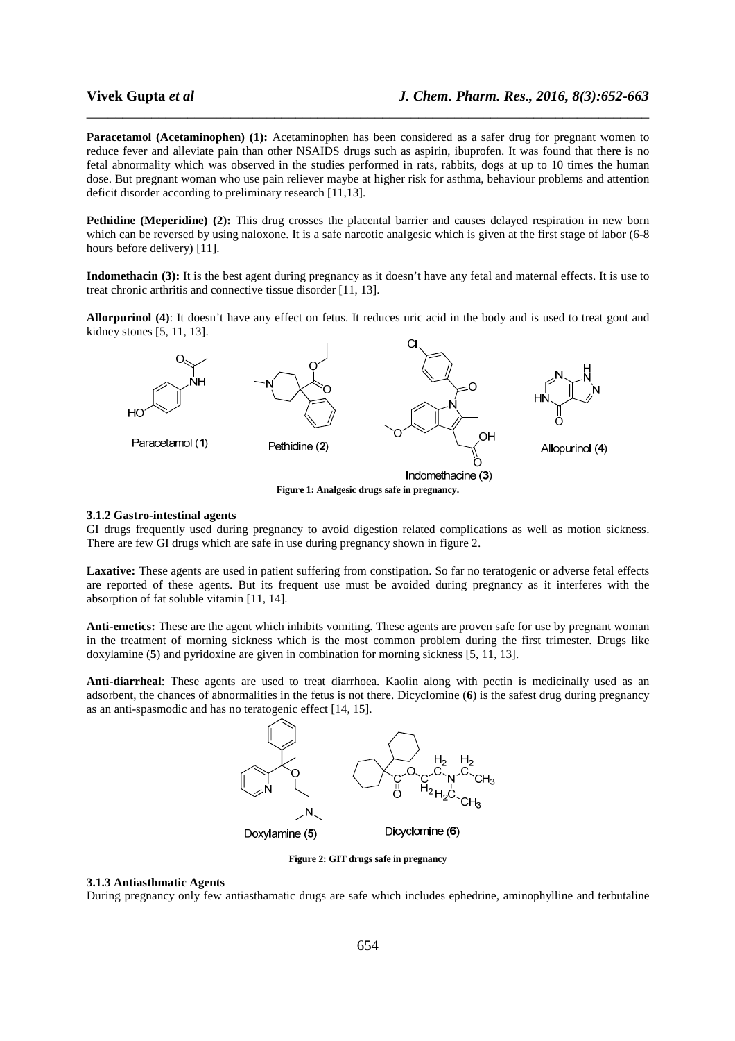**Paracetamol (Acetaminophen) (1):** Acetaminophen has been considered as a safer drug for pregnant women to reduce fever and alleviate pain than other NSAIDS drugs such as aspirin, ibuprofen. It was found that there is no fetal abnormality which was observed in the studies performed in rats, rabbits, dogs at up to 10 times the human dose. But pregnant woman who use pain reliever maybe at higher risk for asthma, behaviour problems and attention deficit disorder according to preliminary research [11,13].

\_\_\_\_\_\_\_\_\_\_\_\_\_\_\_\_\_\_\_\_\_\_\_\_\_\_\_\_\_\_\_\_\_\_\_\_\_\_\_\_\_\_\_\_\_\_\_\_\_\_\_\_\_\_\_\_\_\_\_\_\_\_\_\_\_\_\_\_\_\_\_\_\_\_\_\_\_\_

**Pethidine (Meperidine) (2):** This drug crosses the placental barrier and causes delayed respiration in new born which can be reversed by using naloxone. It is a safe narcotic analgesic which is given at the first stage of labor (6-8 hours before delivery) [11].

**Indomethacin (3):** It is the best agent during pregnancy as it doesn't have any fetal and maternal effects. It is use to treat chronic arthritis and connective tissue disorder [11, 13].

**Allorpurinol (4)**: It doesn't have any effect on fetus. It reduces uric acid in the body and is used to treat gout and kidney stones [5, 11, 13].



#### **3.1.2 Gastro-intestinal agents**

GI drugs frequently used during pregnancy to avoid digestion related complications as well as motion sickness. There are few GI drugs which are safe in use during pregnancy shown in figure 2.

**Laxative:** These agents are used in patient suffering from constipation. So far no teratogenic or adverse fetal effects are reported of these agents. But its frequent use must be avoided during pregnancy as it interferes with the absorption of fat soluble vitamin [11, 14].

**Anti-emetics:** These are the agent which inhibits vomiting. These agents are proven safe for use by pregnant woman in the treatment of morning sickness which is the most common problem during the first trimester. Drugs like doxylamine (**5**) and pyridoxine are given in combination for morning sickness [5, 11, 13].

**Anti-diarrheal**: These agents are used to treat diarrhoea. Kaolin along with pectin is medicinally used as an adsorbent, the chances of abnormalities in the fetus is not there. Dicyclomine (**6**) is the safest drug during pregnancy as an anti-spasmodic and has no teratogenic effect [14, 15].



**Figure 2: GIT drugs safe in pregnancy** 

### **3.1.3 Antiasthmatic Agents**

During pregnancy only few antiasthamatic drugs are safe which includes ephedrine, aminophylline and terbutaline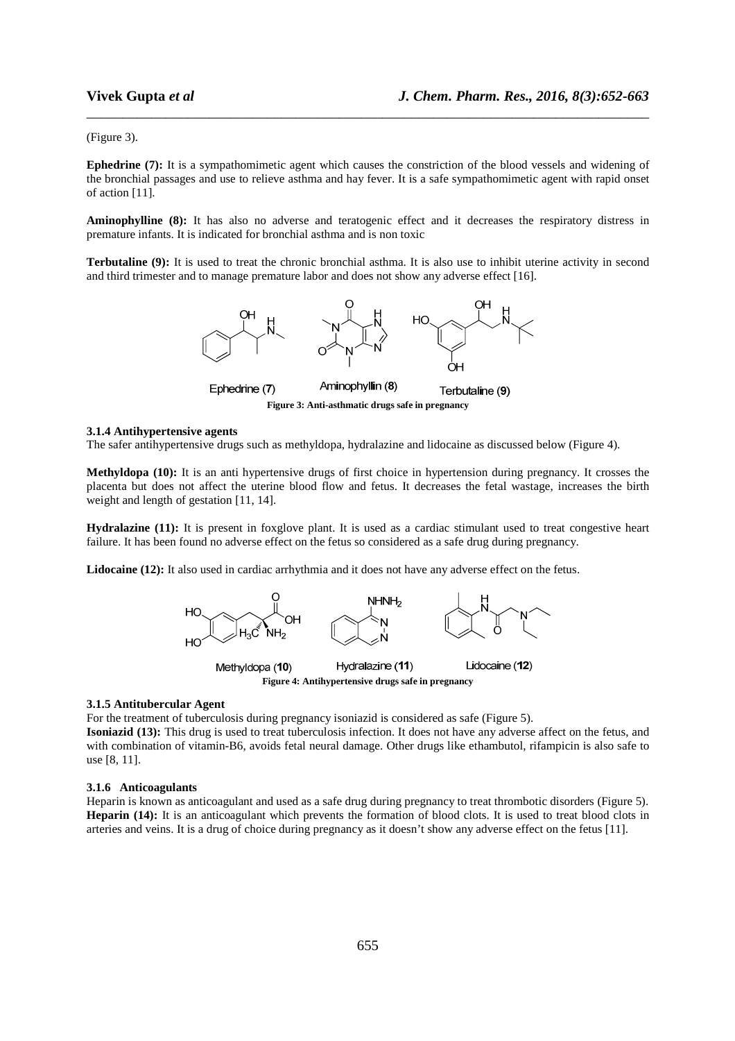#### (Figure 3).

**Ephedrine (7):** It is a sympathomimetic agent which causes the constriction of the blood vessels and widening of the bronchial passages and use to relieve asthma and hay fever. It is a safe sympathomimetic agent with rapid onset of action [11].

\_\_\_\_\_\_\_\_\_\_\_\_\_\_\_\_\_\_\_\_\_\_\_\_\_\_\_\_\_\_\_\_\_\_\_\_\_\_\_\_\_\_\_\_\_\_\_\_\_\_\_\_\_\_\_\_\_\_\_\_\_\_\_\_\_\_\_\_\_\_\_\_\_\_\_\_\_\_

**Aminophylline (8):** It has also no adverse and teratogenic effect and it decreases the respiratory distress in premature infants. It is indicated for bronchial asthma and is non toxic

**Terbutaline (9):** It is used to treat the chronic bronchial asthma. It is also use to inhibit uterine activity in second and third trimester and to manage premature labor and does not show any adverse effect [16].



**Figure 3: Anti-asthmatic drugs safe in pregnancy** 

#### **3.1.4 Antihypertensive agents**

The safer antihypertensive drugs such as methyldopa, hydralazine and lidocaine as discussed below (Figure 4).

**Methyldopa (10):** It is an anti hypertensive drugs of first choice in hypertension during pregnancy. It crosses the placenta but does not affect the uterine blood flow and fetus. It decreases the fetal wastage, increases the birth weight and length of gestation [11, 14].

**Hydralazine (11):** It is present in foxglove plant. It is used as a cardiac stimulant used to treat congestive heart failure. It has been found no adverse effect on the fetus so considered as a safe drug during pregnancy.

**Lidocaine (12):** It also used in cardiac arrhythmia and it does not have any adverse effect on the fetus.



#### **3.1.5 Antitubercular Agent**

For the treatment of tuberculosis during pregnancy isoniazid is considered as safe (Figure 5).

**Isoniazid (13):** This drug is used to treat tuberculosis infection. It does not have any adverse affect on the fetus, and with combination of vitamin-B6, avoids fetal neural damage. Other drugs like ethambutol, rifampicin is also safe to use [8, 11].

### **3.1.6 Anticoagulants**

Heparin is known as anticoagulant and used as a safe drug during pregnancy to treat thrombotic disorders (Figure 5). **Heparin (14):** It is an anticoagulant which prevents the formation of blood clots. It is used to treat blood clots in arteries and veins. It is a drug of choice during pregnancy as it doesn't show any adverse effect on the fetus [11].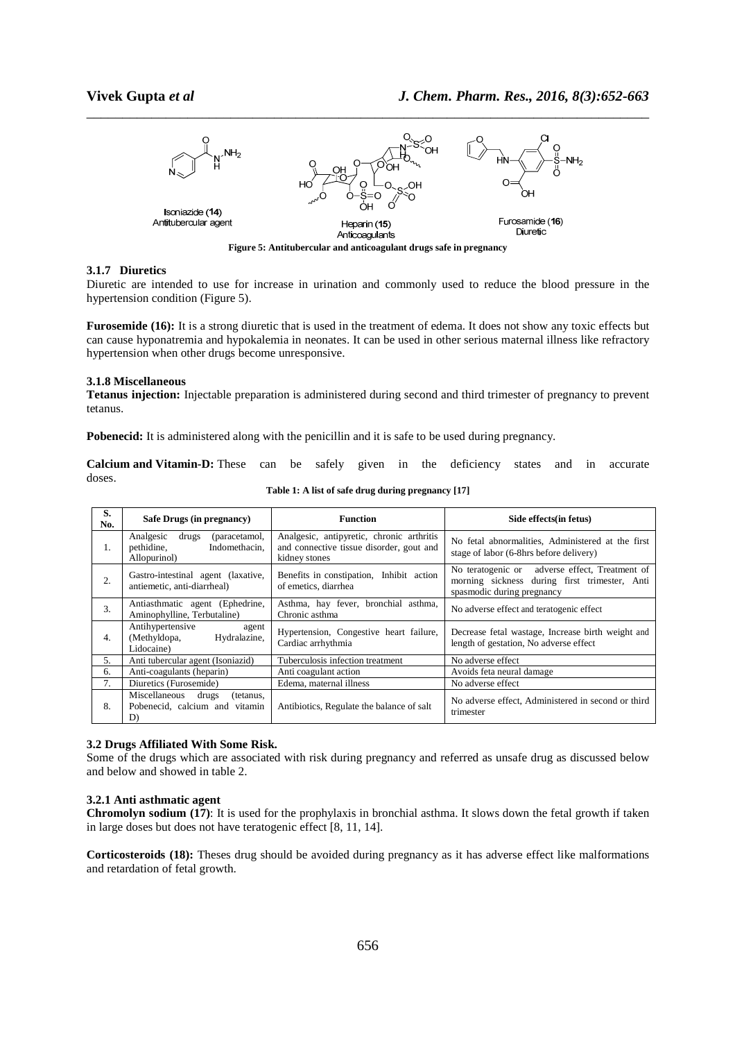

#### **3.1.7 Diuretics**

Diuretic are intended to use for increase in urination and commonly used to reduce the blood pressure in the hypertension condition (Figure 5).

**Furosemide (16):** It is a strong diuretic that is used in the treatment of edema. It does not show any toxic effects but can cause hyponatremia and hypokalemia in neonates. It can be used in other serious maternal illness like refractory hypertension when other drugs become unresponsive.

#### **3.1.8 Miscellaneous**

**Tetanus injection:** Injectable preparation is administered during second and third trimester of pregnancy to prevent tetanus.

**Pobenecid:** It is administered along with the penicillin and it is safe to be used during pregnancy.

**Calcium and Vitamin-D:** These can be safely given in the deficiency states and in accurate doses.

| S.<br>No. | Safe Drugs (in pregnancy)                                                          | <b>Function</b>                                                                                        | Side effects(in fetus)                                                                                                           |
|-----------|------------------------------------------------------------------------------------|--------------------------------------------------------------------------------------------------------|----------------------------------------------------------------------------------------------------------------------------------|
| 1.        | Analgesic<br>(paracetamol,<br>drugs<br>Indomethacin,<br>pethidine,<br>Allopurinol) | Analgesic, antipyretic, chronic arthritis<br>and connective tissue disorder, gout and<br>kidney stones | No fetal abnormalities, Administered at the first<br>stage of labor (6-8hrs before delivery)                                     |
| 2.        | Gastro-intestinal agent (laxative,<br>antiemetic, anti-diarrheal)                  | Benefits in constipation, Inhibit action<br>of emetics, diarrhea                                       | adverse effect, Treatment of<br>No teratogenic or<br>morning sickness during first trimester, Anti<br>spasmodic during pregnancy |
| 3.        | Antiasthmatic agent (Ephedrine,<br>Aminophylline, Terbutaline)                     | Asthma, hay fever, bronchial asthma,<br>Chronic asthma                                                 | No adverse effect and teratogenic effect                                                                                         |
| 4.        | Antihypertensive<br>agent<br>(Methyldopa,<br>Hydralazine,<br>Lidocaine)            | Hypertension, Congestive heart failure,<br>Cardiac arrhythmia                                          | Decrease fetal wastage, Increase birth weight and<br>length of gestation, No adverse effect                                      |
| 5.        | Anti tubercular agent (Isoniazid)                                                  | Tuberculosis infection treatment                                                                       | No adverse effect                                                                                                                |
| б.        | Anti-coagulants (heparin)                                                          | Anti coagulant action                                                                                  | Avoids feta neural damage                                                                                                        |
| 7.        | Diuretics (Furosemide)                                                             | Edema, maternal illness                                                                                | No adverse effect                                                                                                                |
| 8.        | Miscellaneous<br>drugs<br>(tetanus,<br>Pobenecid, calcium and vitamin<br>D)        | Antibiotics, Regulate the balance of salt                                                              | No adverse effect, Administered in second or third<br>trimester                                                                  |

**Table 1: A list of safe drug during pregnancy [17]** 

#### **3.2 Drugs Affiliated With Some Risk.**

Some of the drugs which are associated with risk during pregnancy and referred as unsafe drug as discussed below and below and showed in table 2.

#### **3.2.1 Anti asthmatic agent**

**Chromolyn sodium (17)**: It is used for the prophylaxis in bronchial asthma. It slows down the fetal growth if taken in large doses but does not have teratogenic effect [8, 11, 14].

**Corticosteroids (18):** Theses drug should be avoided during pregnancy as it has adverse effect like malformations and retardation of fetal growth.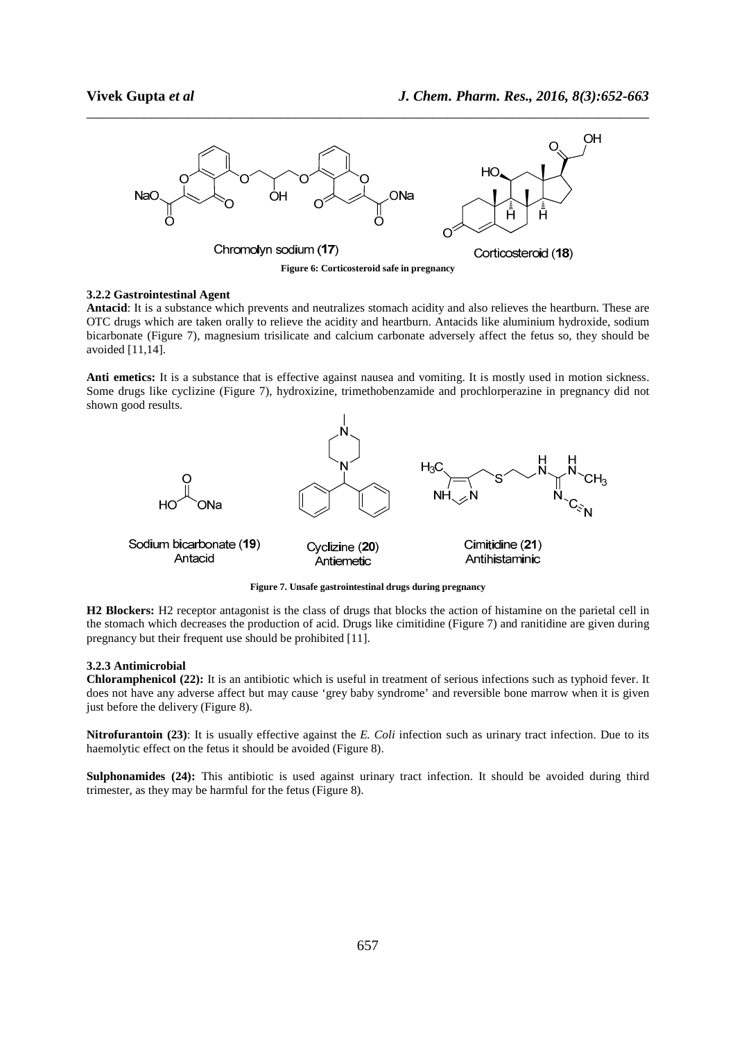

\_\_\_\_\_\_\_\_\_\_\_\_\_\_\_\_\_\_\_\_\_\_\_\_\_\_\_\_\_\_\_\_\_\_\_\_\_\_\_\_\_\_\_\_\_\_\_\_\_\_\_\_\_\_\_\_\_\_\_\_\_\_\_\_\_\_\_\_\_\_\_\_\_\_\_\_\_\_

#### **3.2.2 Gastrointestinal Agent**

**Antacid**: It is a substance which prevents and neutralizes stomach acidity and also relieves the heartburn. These are OTC drugs which are taken orally to relieve the acidity and heartburn. Antacids like aluminium hydroxide, sodium bicarbonate (Figure 7), magnesium trisilicate and calcium carbonate adversely affect the fetus so, they should be avoided [11,14].

Anti emetics: It is a substance that is effective against nausea and vomiting. It is mostly used in motion sickness. Some drugs like cyclizine (Figure 7), hydroxizine, trimethobenzamide and prochlorperazine in pregnancy did not shown good results.



**Figure 7. Unsafe gastrointestinal drugs during pregnancy** 

**H2 Blockers:** H2 receptor antagonist is the class of drugs that blocks the action of histamine on the parietal cell in the stomach which decreases the production of acid. Drugs like cimitidine (Figure 7) and ranitidine are given during pregnancy but their frequent use should be prohibited [11].

#### **3.2.3 Antimicrobial**

**Chloramphenicol (22):** It is an antibiotic which is useful in treatment of serious infections such as typhoid fever. It does not have any adverse affect but may cause 'grey baby syndrome' and reversible bone marrow when it is given just before the delivery (Figure 8).

**Nitrofurantoin (23)**: It is usually effective against the *E. Coli* infection such as urinary tract infection. Due to its haemolytic effect on the fetus it should be avoided (Figure 8).

**Sulphonamides (24):** This antibiotic is used against urinary tract infection. It should be avoided during third trimester, as they may be harmful for the fetus (Figure 8).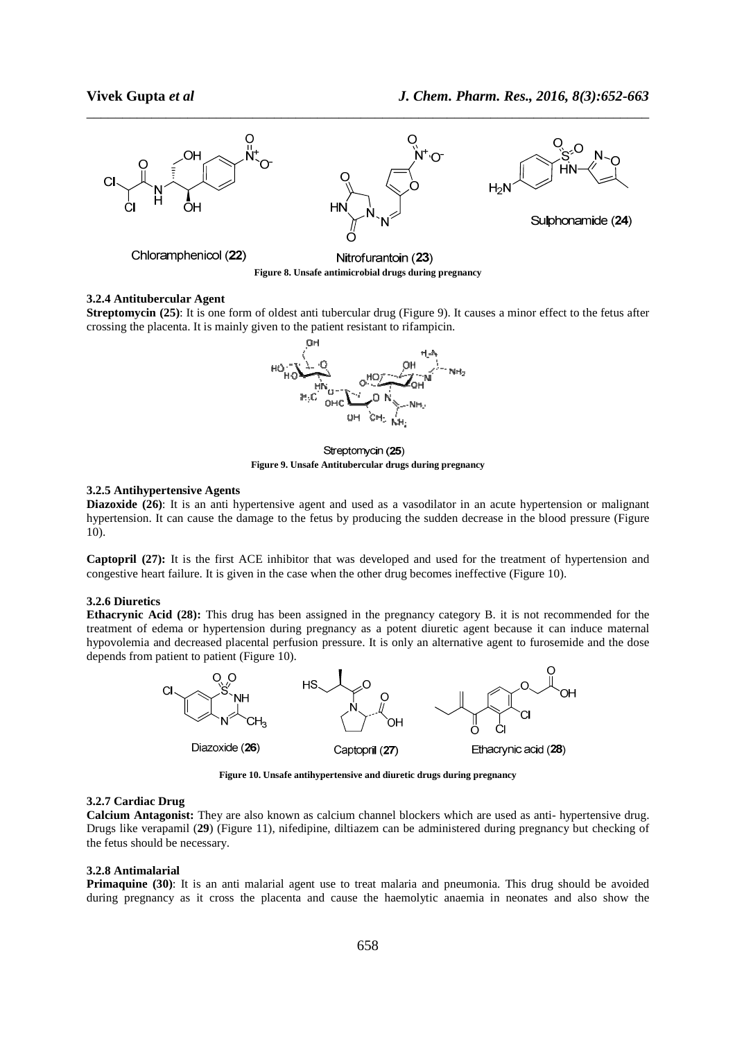

\_\_\_\_\_\_\_\_\_\_\_\_\_\_\_\_\_\_\_\_\_\_\_\_\_\_\_\_\_\_\_\_\_\_\_\_\_\_\_\_\_\_\_\_\_\_\_\_\_\_\_\_\_\_\_\_\_\_\_\_\_\_\_\_\_\_\_\_\_\_\_\_\_\_\_\_\_\_

**Figure 8. Unsafe antimicrobial drugs during pregnancy** 

### **3.2.4 Antitubercular Agent**

**Streptomycin (25)**: It is one form of oldest anti tubercular drug (Figure 9). It causes a minor effect to the fetus after crossing the placenta. It is mainly given to the patient resistant to rifampicin.



Streptomycin (25)  **Figure 9. Unsafe Antitubercular drugs during pregnancy**

#### **3.2.5 Antihypertensive Agents**

**Diazoxide (26)**: It is an anti hypertensive agent and used as a vasodilator in an acute hypertension or malignant hypertension. It can cause the damage to the fetus by producing the sudden decrease in the blood pressure (Figure 10).

**Captopril (27):** It is the first ACE inhibitor that was developed and used for the treatment of hypertension and congestive heart failure. It is given in the case when the other drug becomes ineffective (Figure 10).

## **3.2.6 Diuretics**

**Ethacrynic Acid (28):** This drug has been assigned in the pregnancy category B. it is not recommended for the treatment of edema or hypertension during pregnancy as a potent diuretic agent because it can induce maternal hypovolemia and decreased placental perfusion pressure. It is only an alternative agent to furosemide and the dose depends from patient to patient (Figure 10).



**Figure 10. Unsafe antihypertensive and diuretic drugs during pregnancy** 

#### **3.2.7 Cardiac Drug**

**Calcium Antagonist:** They are also known as calcium channel blockers which are used as anti- hypertensive drug. Drugs like verapamil (**29**) (Figure 11), nifedipine, diltiazem can be administered during pregnancy but checking of the fetus should be necessary.

#### **3.2.8 Antimalarial**

**Primaquine (30)**: It is an anti malarial agent use to treat malaria and pneumonia. This drug should be avoided during pregnancy as it cross the placenta and cause the haemolytic anaemia in neonates and also show the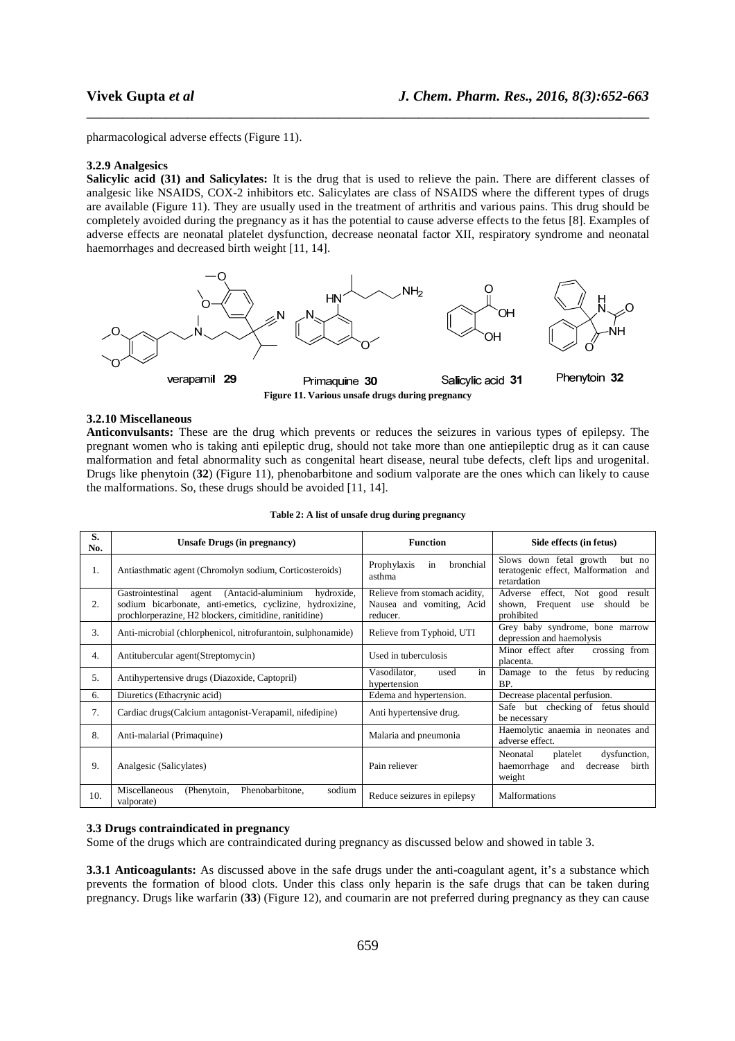pharmacological adverse effects (Figure 11).

#### **3.2.9 Analgesics**

**Salicylic acid (31) and Salicylates:** It is the drug that is used to relieve the pain. There are different classes of analgesic like NSAIDS, COX-2 inhibitors etc. Salicylates are class of NSAIDS where the different types of drugs are available (Figure 11). They are usually used in the treatment of arthritis and various pains. This drug should be completely avoided during the pregnancy as it has the potential to cause adverse effects to the fetus [8]. Examples of adverse effects are neonatal platelet dysfunction, decrease neonatal factor XII, respiratory syndrome and neonatal haemorrhages and decreased birth weight [11, 14].

\_\_\_\_\_\_\_\_\_\_\_\_\_\_\_\_\_\_\_\_\_\_\_\_\_\_\_\_\_\_\_\_\_\_\_\_\_\_\_\_\_\_\_\_\_\_\_\_\_\_\_\_\_\_\_\_\_\_\_\_\_\_\_\_\_\_\_\_\_\_\_\_\_\_\_\_\_\_



#### **3.2.10 Miscellaneous**

**Anticonvulsants:** These are the drug which prevents or reduces the seizures in various types of epilepsy. The pregnant women who is taking anti epileptic drug, should not take more than one antiepileptic drug as it can cause malformation and fetal abnormality such as congenital heart disease, neural tube defects, cleft lips and urogenital. Drugs like phenytoin (**32**) (Figure 11), phenobarbitone and sodium valporate are the ones which can likely to cause the malformations. So, these drugs should be avoided [11, 14].

| S.<br>No. | Unsafe Drugs (in pregnancy)                                                                                                                                                          | <b>Function</b>                                                        | Side effects (in fetus)                                                                   |
|-----------|--------------------------------------------------------------------------------------------------------------------------------------------------------------------------------------|------------------------------------------------------------------------|-------------------------------------------------------------------------------------------|
| Ι.        | Antiasthmatic agent (Chromolyn sodium, Corticosteroids)                                                                                                                              | bronchial<br>Prophylaxis<br>in<br>asthma                               | Slows down fetal growth<br>but no<br>teratogenic effect, Malformation and<br>retardation  |
| 2.        | (Antacid-aluminium<br>Gastrointestinal<br>hydroxide,<br>agent<br>sodium bicarbonate, anti-emetics, cyclizine, hydroxizine,<br>prochlorperazine, H2 blockers, cimitidine, ranitidine) | Relieve from stomach acidity,<br>Nausea and vomiting, Acid<br>reducer. | Adverse effect, Not good result<br>shown, Frequent use<br>should be<br>prohibited         |
| 3.        | Anti-microbial (chlorphenicol, nitrofurantoin, sulphonamide)                                                                                                                         | Relieve from Typhoid, UTI                                              | Grey baby syndrome, bone marrow<br>depression and haemolysis                              |
| 4.        | Antitubercular agent(Streptomycin)                                                                                                                                                   | Used in tuberculosis                                                   | crossing from<br>Minor effect after<br>placenta.                                          |
| 5.        | Antihypertensive drugs (Diazoxide, Captopril)                                                                                                                                        | in<br>Vasodilator,<br>used<br>hypertension                             | fetus by reducing<br>the<br>Damage to<br>BP.                                              |
| 6.        | Diuretics (Ethacrynic acid)                                                                                                                                                          | Edema and hypertension.                                                | Decrease placental perfusion.                                                             |
| 7.        | Cardiac drugs (Calcium antagonist-Verapamil, nifedipine)                                                                                                                             | Anti hypertensive drug.                                                | Safe but checking of fetus should<br>be necessary                                         |
| 8.        | Anti-malarial (Primaquine)                                                                                                                                                           | Malaria and pneumonia                                                  | Haemolytic anaemia in neonates and<br>adverse effect.                                     |
| 9.        | Analgesic (Salicylates)                                                                                                                                                              | Pain reliever                                                          | dysfunction,<br>Neonatal<br>platelet<br>decrease<br>haemorrhage<br>birth<br>and<br>weight |
| 10.       | Miscellaneous<br>Phenobarbitone.<br>sodium<br>(Phenytoin,<br>valporate)                                                                                                              | Reduce seizures in epilepsy                                            | <b>Malformations</b>                                                                      |

|  |  |  |  |  | Table 2: A list of unsafe drug during pregnancy |
|--|--|--|--|--|-------------------------------------------------|
|--|--|--|--|--|-------------------------------------------------|

#### **3.3 Drugs contraindicated in pregnancy**

Some of the drugs which are contraindicated during pregnancy as discussed below and showed in table 3.

**3.3.1 Anticoagulants:** As discussed above in the safe drugs under the anti-coagulant agent, it's a substance which prevents the formation of blood clots. Under this class only heparin is the safe drugs that can be taken during pregnancy. Drugs like warfarin (**33**) (Figure 12), and coumarin are not preferred during pregnancy as they can cause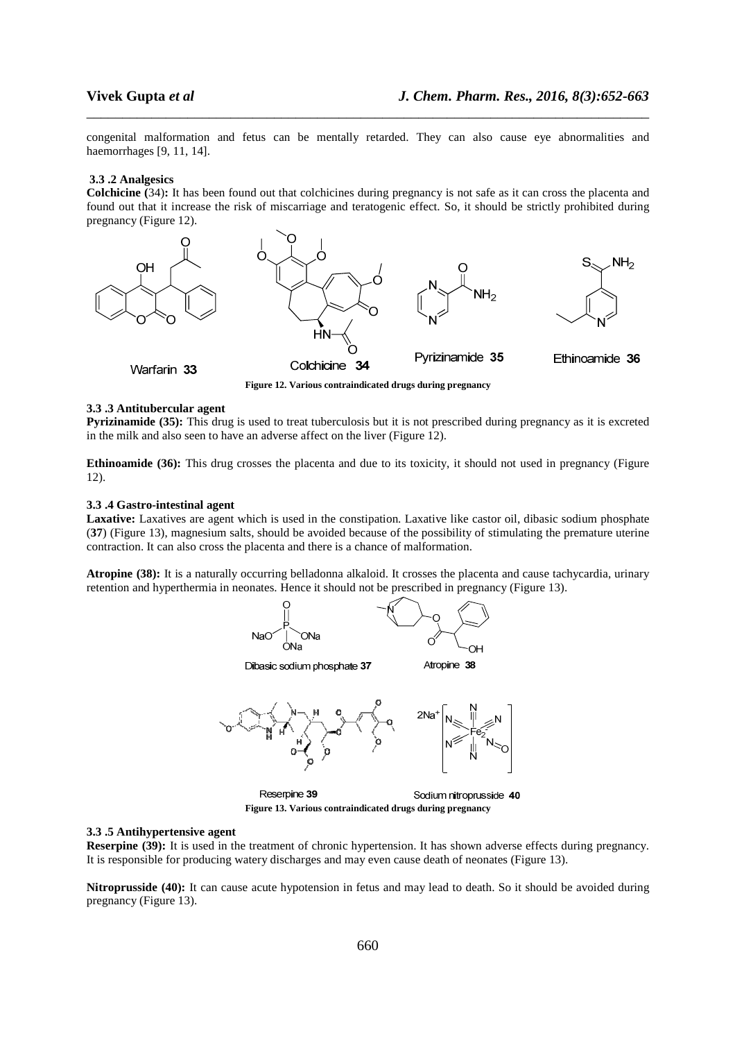congenital malformation and fetus can be mentally retarded. They can also cause eye abnormalities and haemorrhages [9, 11, 14].

\_\_\_\_\_\_\_\_\_\_\_\_\_\_\_\_\_\_\_\_\_\_\_\_\_\_\_\_\_\_\_\_\_\_\_\_\_\_\_\_\_\_\_\_\_\_\_\_\_\_\_\_\_\_\_\_\_\_\_\_\_\_\_\_\_\_\_\_\_\_\_\_\_\_\_\_\_\_

#### **3.3 .2 Analgesics**

**Colchicine (**34)**:** It has been found out that colchicines during pregnancy is not safe as it can cross the placenta and found out that it increase the risk of miscarriage and teratogenic effect. So, it should be strictly prohibited during pregnancy (Figure 12).



**Figure 12. Various contraindicated drugs during pregnancy** 

#### **3.3 .3 Antitubercular agent**

**Pyrizinamide (35):** This drug is used to treat tuberculosis but it is not prescribed during pregnancy as it is excreted in the milk and also seen to have an adverse affect on the liver (Figure 12).

**Ethinoamide (36):** This drug crosses the placenta and due to its toxicity, it should not used in pregnancy (Figure 12).

#### **3.3 .4 Gastro-intestinal agent**

Laxative: Laxatives are agent which is used in the constipation. Laxative like castor oil, dibasic sodium phosphate (**37**) (Figure 13), magnesium salts, should be avoided because of the possibility of stimulating the premature uterine contraction. It can also cross the placenta and there is a chance of malformation.

**Atropine (38):** It is a naturally occurring belladonna alkaloid. It crosses the placenta and cause tachycardia, urinary retention and hyperthermia in neonates. Hence it should not be prescribed in pregnancy (Figure 13).



#### **3.3 .5 Antihypertensive agent**

**Reserpine (39):** It is used in the treatment of chronic hypertension. It has shown adverse effects during pregnancy. It is responsible for producing watery discharges and may even cause death of neonates (Figure 13).

**Nitroprusside (40):** It can cause acute hypotension in fetus and may lead to death. So it should be avoided during pregnancy (Figure 13).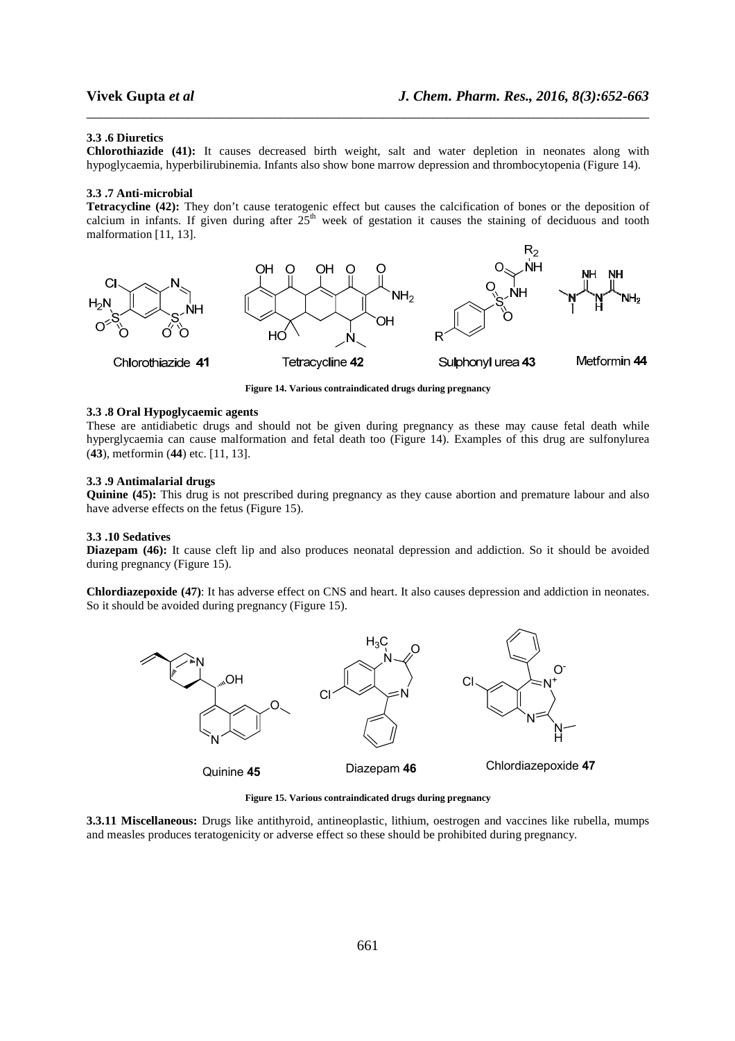#### **3.3 .6 Diuretics**

**Chlorothiazide (41):** It causes decreased birth weight, salt and water depletion in neonates along with hypoglycaemia, hyperbilirubinemia. Infants also show bone marrow depression and thrombocytopenia (Figure 14).

\_\_\_\_\_\_\_\_\_\_\_\_\_\_\_\_\_\_\_\_\_\_\_\_\_\_\_\_\_\_\_\_\_\_\_\_\_\_\_\_\_\_\_\_\_\_\_\_\_\_\_\_\_\_\_\_\_\_\_\_\_\_\_\_\_\_\_\_\_\_\_\_\_\_\_\_\_\_

#### **3.3 .7 Anti-microbial**

**Tetracycline (42):** They don't cause teratogenic effect but causes the calcification of bones or the deposition of calcium in infants. If given during after  $25<sup>th</sup>$  week of gestation it causes the staining of deciduous and tooth malformation [11, 13].



**Figure 14. Various contraindicated drugs during pregnancy** 

#### **3.3 .8 Oral Hypoglycaemic agents**

These are antidiabetic drugs and should not be given during pregnancy as these may cause fetal death while hyperglycaemia can cause malformation and fetal death too (Figure 14). Examples of this drug are sulfonylurea (**43**), metformin (**44**) etc. [11, 13].

#### **3.3 .9 Antimalarial drugs**

**Quinine (45):** This drug is not prescribed during pregnancy as they cause abortion and premature labour and also have adverse effects on the fetus (Figure 15).

#### **3.3 .10 Sedatives**

**Diazepam (46):** It cause cleft lip and also produces neonatal depression and addiction. So it should be avoided during pregnancy (Figure 15).

**Chlordiazepoxide (47)**: It has adverse effect on CNS and heart. It also causes depression and addiction in neonates. So it should be avoided during pregnancy (Figure 15).



**Figure 15. Various contraindicated drugs during pregnancy** 

**3.3.11 Miscellaneous:** Drugs like antithyroid, antineoplastic, lithium, oestrogen and vaccines like rubella, mumps and measles produces teratogenicity or adverse effect so these should be prohibited during pregnancy.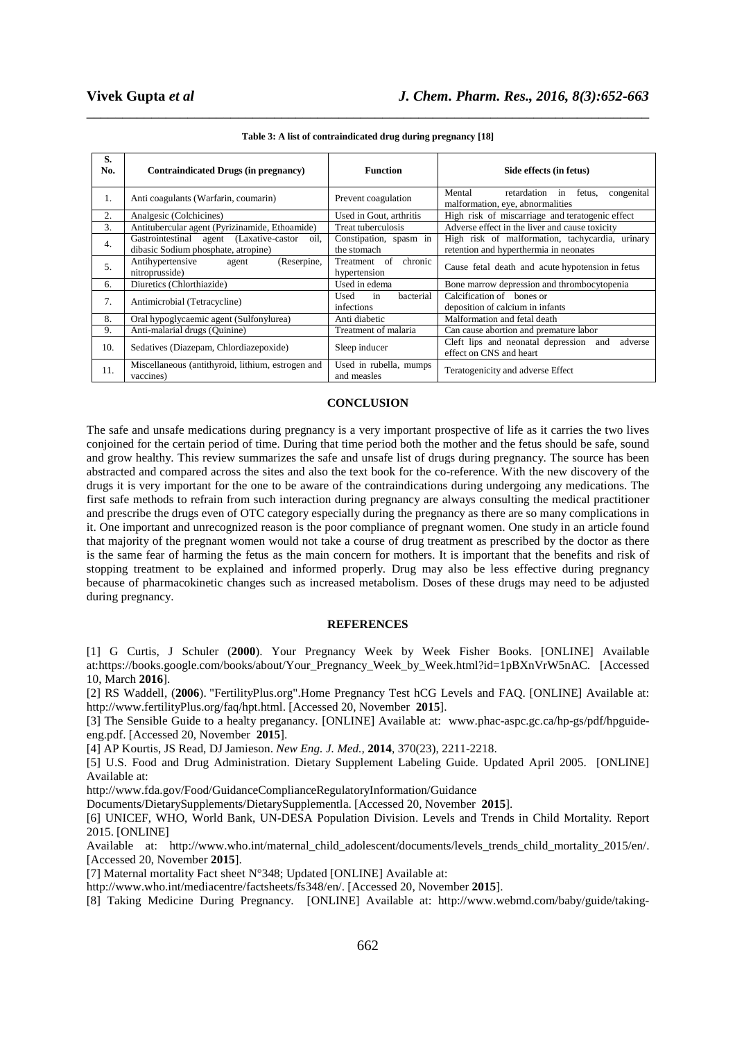| S.<br>No. | <b>Contraindicated Drugs (in pregnancy)</b>                                            | <b>Function</b>                                  | Side effects (in fetus)                                                                   |  |  |
|-----------|----------------------------------------------------------------------------------------|--------------------------------------------------|-------------------------------------------------------------------------------------------|--|--|
| 1.        | Anti coagulants (Warfarin, coumarin)                                                   | Prevent coagulation                              | Mental<br>fetus.<br>retardation<br>congenital<br>in<br>malformation, eye, abnormalities   |  |  |
| 2.        | Analgesic (Colchicines)                                                                | Used in Gout, arthritis                          | High risk of miscarriage and teratogenic effect                                           |  |  |
| 3.        | Antitubercular agent (Pyrizinamide, Ethoamide)                                         | Treat tuberculosis                               | Adverse effect in the liver and cause toxicity                                            |  |  |
| 4.        | Gastrointestinal agent (Laxative-castor<br>oil.<br>dibasic Sodium phosphate, atropine) | Constipation, spasm in<br>the stomach            | High risk of malformation, tachycardia, urinary<br>retention and hyperthermia in neonates |  |  |
| 5.        | Antihypertensive<br>(Reserpine,<br>agent<br>nitroprusside)                             | Treatment of<br>chronic<br>hypertension          | Cause fetal death and acute hypotension in fetus                                          |  |  |
| 6.        | Diuretics (Chlorthiazide)                                                              | Used in edema                                    | Bone marrow depression and thrombocytopenia                                               |  |  |
| 7.        | Antimicrobial (Tetracycline)                                                           | bacterial<br>Used<br>$\mathbf{in}$<br>infections | Calcification of bones or<br>deposition of calcium in infants                             |  |  |
| 8.        | Oral hypoglycaemic agent (Sulfonylurea)                                                | Anti diabetic                                    | Malformation and fetal death                                                              |  |  |
| 9.        | Anti-malarial drugs (Quinine)                                                          | Treatment of malaria                             | Can cause abortion and premature labor                                                    |  |  |
| 10.       | Sedatives (Diazepam, Chlordiazepoxide)                                                 | Sleep inducer                                    | Cleft lips and neonatal depression and<br>adverse<br>effect on CNS and heart              |  |  |
| 11.       | Miscellaneous (antithyroid, lithium, estrogen and<br>vaccines)                         | Used in rubella, mumps<br>and measles            | Teratogenicity and adverse Effect                                                         |  |  |

\_\_\_\_\_\_\_\_\_\_\_\_\_\_\_\_\_\_\_\_\_\_\_\_\_\_\_\_\_\_\_\_\_\_\_\_\_\_\_\_\_\_\_\_\_\_\_\_\_\_\_\_\_\_\_\_\_\_\_\_\_\_\_\_\_\_\_\_\_\_\_\_\_\_\_\_\_\_ **Table 3: A list of contraindicated drug during pregnancy [18]** 

### **CONCLUSION**

The safe and unsafe medications during pregnancy is a very important prospective of life as it carries the two lives conjoined for the certain period of time. During that time period both the mother and the fetus should be safe, sound and grow healthy. This review summarizes the safe and unsafe list of drugs during pregnancy. The source has been abstracted and compared across the sites and also the text book for the co-reference. With the new discovery of the drugs it is very important for the one to be aware of the contraindications during undergoing any medications. The first safe methods to refrain from such interaction during pregnancy are always consulting the medical practitioner and prescribe the drugs even of OTC category especially during the pregnancy as there are so many complications in it. One important and unrecognized reason is the poor compliance of pregnant women. One study in an article found that majority of the pregnant women would not take a course of drug treatment as prescribed by the doctor as there is the same fear of harming the fetus as the main concern for mothers. It is important that the benefits and risk of stopping treatment to be explained and informed properly. Drug may also be less effective during pregnancy because of pharmacokinetic changes such as increased metabolism. Doses of these drugs may need to be adjusted during pregnancy.

#### **REFERENCES**

[1] G Curtis, J Schuler (**2000**). Your Pregnancy Week by Week Fisher Books. [ONLINE] Available at:https://books.google.com/books/about/Your\_Pregnancy\_Week\_by\_Week.html?id=1pBXnVrW5nAC. [Accessed 10, March **2016**].

[2] RS Waddell, (**2006**). "FertilityPlus.org".Home Pregnancy Test hCG Levels and FAQ. [ONLINE] Available at: http://www.fertilityPlus.org/faq/hpt.html. [Accessed 20, November **2015**].

[3] The Sensible Guide to a healty preganancy. [ONLINE] Available at: www.phac-aspc.gc.ca/hp-gs/pdf/hpguideeng.pdf. [Accessed 20, November **2015**].

[4] AP Kourtis, JS Read, DJ Jamieson. *New Eng. J. Med.,* **2014**, 370(23), 2211-2218.

[5] U.S. Food and Drug Administration. Dietary Supplement Labeling Guide. Updated April 2005. [ONLINE] Available at:

http://www.fda.gov/Food/GuidanceComplianceRegulatoryInformation/Guidance

Documents/DietarySupplements/DietarySupplementla. [Accessed 20, November **2015**].

[6] UNICEF, WHO, World Bank, UN-DESA Population Division. Levels and Trends in Child Mortality. Report 2015. [ONLINE]

Available at: http://www.who.int/maternal\_child\_adolescent/documents/levels\_trends\_child\_mortality\_2015/en/. [Accessed 20, November **2015**].

[7] Maternal mortality Fact sheet N°348; Updated [ONLINE] Available at:

http://www.who.int/mediacentre/factsheets/fs348/en/. [Accessed 20, November **2015**].

[8] Taking Medicine During Pregnancy. [ONLINE] Available at: http://www.webmd.com/baby/guide/taking-